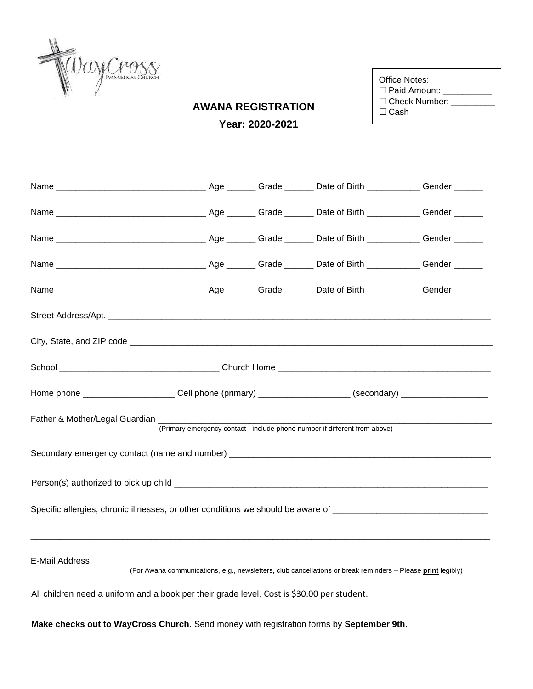

| $\Box$ Check Number: |
|----------------------|
|                      |
|                      |

## **AWANA REGISTRATION Year: 2020-2021**

|                                                                                                                |  |  | Home phone __________________________Cell phone (primary) _____________________(secondary) ___________________ |  |  |
|----------------------------------------------------------------------------------------------------------------|--|--|----------------------------------------------------------------------------------------------------------------|--|--|
|                                                                                                                |  |  | (Primary emergency contact - include phone number if different from above)                                     |  |  |
|                                                                                                                |  |  |                                                                                                                |  |  |
|                                                                                                                |  |  |                                                                                                                |  |  |
| Specific allergies, chronic illnesses, or other conditions we should be aware of _____________________________ |  |  |                                                                                                                |  |  |
| E-Mail Address ________                                                                                        |  |  | (For Awana communications, e.g., newsletters, club cancellations or break reminders - Please print legibly)    |  |  |
|                                                                                                                |  |  |                                                                                                                |  |  |

All children need a uniform and a book per their grade level. Cost is \$30.00 per student.

**Make checks out to WayCross Church**. Send money with registration forms by **September 9th.**